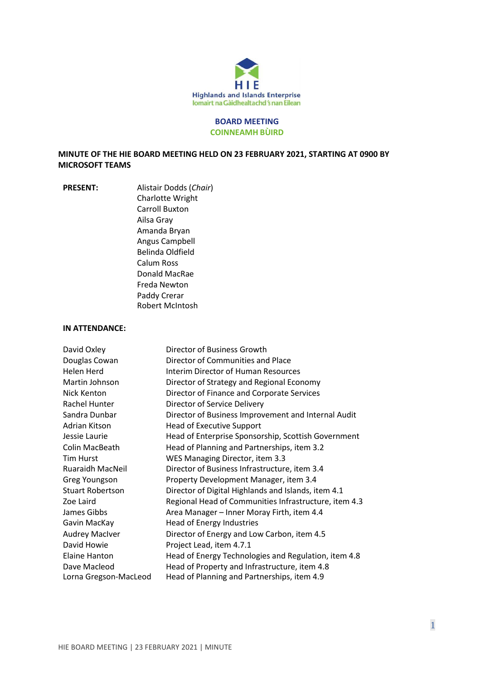

#### **BOARD MEETING COINNEAMH BÙIRD**

# **MINUTE OF THE HIE BOARD MEETING HELD ON 23 FEBRUARY 2021, STARTING AT 0900 BY MICROSOFT TEAMS**

**PRESENT:** Alistair Dodds (*Chair*) Charlotte Wright Carroll Buxton Ailsa Gray Amanda Bryan Angus Campbell Belinda Oldfield Calum Ross Donald MacRae Freda Newton Paddy Crerar Robert McIntosh

#### **IN ATTENDANCE:**

| David Oxley             | Director of Business Growth                           |
|-------------------------|-------------------------------------------------------|
| Douglas Cowan           | Director of Communities and Place                     |
| Helen Herd              | Interim Director of Human Resources                   |
| Martin Johnson          | Director of Strategy and Regional Economy             |
| Nick Kenton             | Director of Finance and Corporate Services            |
| Rachel Hunter           | Director of Service Delivery                          |
| Sandra Dunbar           | Director of Business Improvement and Internal Audit   |
| Adrian Kitson           | <b>Head of Executive Support</b>                      |
| Jessie Laurie           | Head of Enterprise Sponsorship, Scottish Government   |
| Colin MacBeath          | Head of Planning and Partnerships, item 3.2           |
| <b>Tim Hurst</b>        | WES Managing Director, item 3.3                       |
| <b>Ruaraidh MacNeil</b> | Director of Business Infrastructure, item 3.4         |
| Greg Youngson           | Property Development Manager, item 3.4                |
| <b>Stuart Robertson</b> | Director of Digital Highlands and Islands, item 4.1   |
| Zoe Laird               | Regional Head of Communities Infrastructure, item 4.3 |
| James Gibbs             | Area Manager - Inner Moray Firth, item 4.4            |
| Gavin MacKay            | Head of Energy Industries                             |
| <b>Audrey MacIver</b>   | Director of Energy and Low Carbon, item 4.5           |
| David Howie             | Project Lead, item 4.7.1                              |
| Elaine Hanton           | Head of Energy Technologies and Regulation, item 4.8  |
| Dave Macleod            | Head of Property and Infrastructure, item 4.8         |
| Lorna Gregson-MacLeod   | Head of Planning and Partnerships, item 4.9           |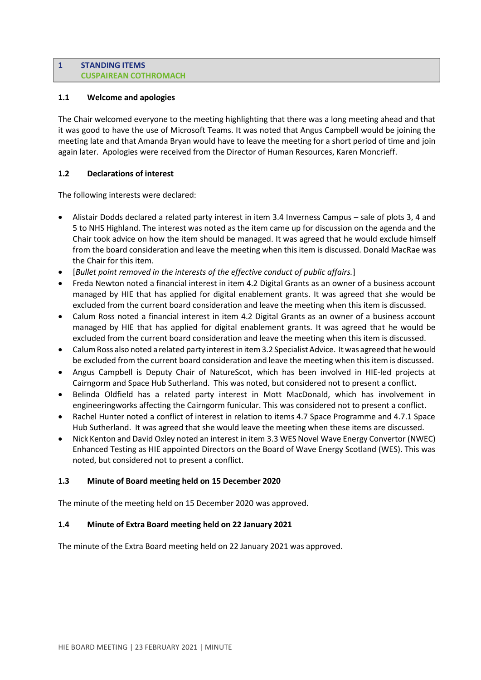#### **1 STANDING ITEMS CUSPAIREAN COTHROMACH**

# **1.1 Welcome and apologies**

The Chair welcomed everyone to the meeting highlighting that there was a long meeting ahead and that it was good to have the use of Microsoft Teams. It was noted that Angus Campbell would be joining the meeting late and that Amanda Bryan would have to leave the meeting for a short period of time and join again later. Apologies were received from the Director of Human Resources, Karen Moncrieff.

### **1.2 Declarations of interest**

The following interests were declared:

- Alistair Dodds declared a related party interest in item 3.4 Inverness Campus sale of plots 3, 4 and 5 to NHS Highland. The interest was noted as the item came up for discussion on the agenda and the Chair took advice on how the item should be managed. It was agreed that he would exclude himself from the board consideration and leave the meeting when this item is discussed. Donald MacRae was the Chair for this item.
- [*Bullet point removed in the interests of the effective conduct of public affairs.*]
- Freda Newton noted a financial interest in item 4.2 Digital Grants as an owner of a business account managed by HIE that has applied for digital enablement grants. It was agreed that she would be excluded from the current board consideration and leave the meeting when this item is discussed.
- Calum Ross noted a financial interest in item 4.2 Digital Grants as an owner of a business account managed by HIE that has applied for digital enablement grants. It was agreed that he would be excluded from the current board consideration and leave the meeting when this item is discussed.
- Calum Ross also noted a related party interest in item 3.2 Specialist Advice. It was agreed that he would be excluded from the current board consideration and leave the meeting when this item is discussed.
- Angus Campbell is Deputy Chair of NatureScot, which has been involved in HIE-led projects at Cairngorm and Space Hub Sutherland. This was noted, but considered not to present a conflict.
- Belinda Oldfield has a related party interest in Mott MacDonald, which has involvement in engineeringworks affecting the Cairngorm funicular. This was considered not to present a conflict.
- Rachel Hunter noted a conflict of interest in relation to items 4.7 Space Programme and 4.7.1 Space Hub Sutherland. It was agreed that she would leave the meeting when these items are discussed.
- Nick Kenton and David Oxley noted an interest in item 3.3 WES Novel Wave Energy Convertor (NWEC) Enhanced Testing as HIE appointed Directors on the Board of Wave Energy Scotland (WES). This was noted, but considered not to present a conflict.

# **1.3 Minute of Board meeting held on 15 December 2020**

The minute of the meeting held on 15 December 2020 was approved.

# **1.4 Minute of Extra Board meeting held on 22 January 2021**

The minute of the Extra Board meeting held on 22 January 2021 was approved.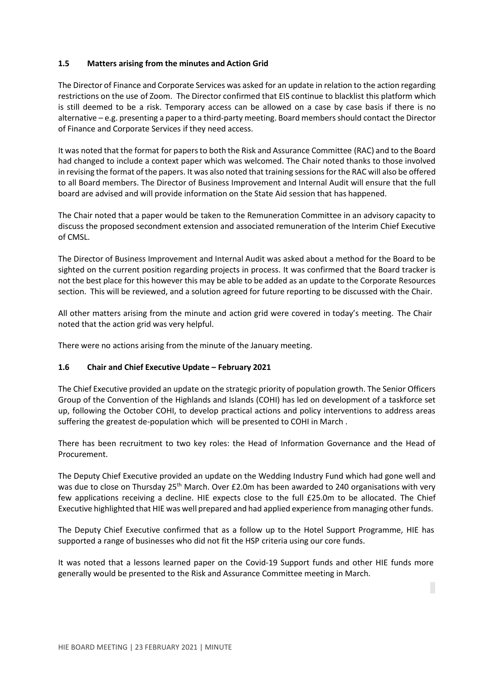### **1.5 Matters arising from the minutes and Action Grid**

The Director of Finance and Corporate Services was asked for an update in relation to the action regarding restrictions on the use of Zoom. The Director confirmed that EIS continue to blacklist this platform which is still deemed to be a risk. Temporary access can be allowed on a case by case basis if there is no alternative – e.g. presenting a paper to a third-party meeting. Board membersshould contact the Director of Finance and Corporate Services if they need access.

It was noted that the format for papersto both the Risk and Assurance Committee (RAC) and to the Board had changed to include a context paper which was welcomed. The Chair noted thanks to those involved in revising the format of the papers. It was also noted that training sessions for the RAC will also be offered to all Board members. The Director of Business Improvement and Internal Audit will ensure that the full board are advised and will provide information on the State Aid session that has happened.

The Chair noted that a paper would be taken to the Remuneration Committee in an advisory capacity to discuss the proposed secondment extension and associated remuneration of the Interim Chief Executive of CMSL.

The Director of Business Improvement and Internal Audit was asked about a method for the Board to be sighted on the current position regarding projects in process. It was confirmed that the Board tracker is not the best place for this however this may be able to be added as an update to the Corporate Resources section. This will be reviewed, and a solution agreed for future reporting to be discussed with the Chair.

All other matters arising from the minute and action grid were covered in today's meeting. The Chair noted that the action grid was very helpful.

There were no actions arising from the minute of the January meeting.

#### **1.6 Chair and Chief Executive Update – February 2021**

The Chief Executive provided an update on the strategic priority of population growth. The Senior Officers Group of the Convention of the Highlands and Islands (COHI) has led on development of a taskforce set up, following the October COHI, to develop practical actions and policy interventions to address areas suffering the greatest de-population which will be presented to COHI in March .

There has been recruitment to two key roles: the Head of Information Governance and the Head of Procurement.

The Deputy Chief Executive provided an update on the Wedding Industry Fund which had gone well and was due to close on Thursday 25<sup>th</sup> March. Over £2.0m has been awarded to 240 organisations with very few applications receiving a decline. HIE expects close to the full £25.0m to be allocated. The Chief Executive highlighted that HIE was well prepared and had applied experience from managing other funds.

The Deputy Chief Executive confirmed that as a follow up to the Hotel Support Programme, HIE has supported a range of businesses who did not fit the HSP criteria using our core funds.

It was noted that a lessons learned paper on the Covid-19 Support funds and other HIE funds more generally would be presented to the Risk and Assurance Committee meeting in March.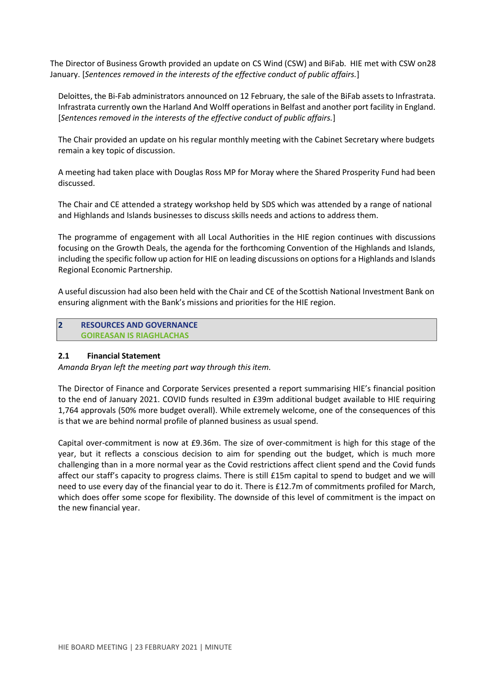The Director of Business Growth provided an update on CS Wind (CSW) and BiFab. HIE met with CSW on28 January. [*Sentences removed in the interests of the effective conduct of public affairs.*]

Deloittes, the Bi-Fab administrators announced on 12 February, the sale of the BiFab assetsto Infrastrata. Infrastrata currently own the Harland And Wolff operationsin Belfast and another port facility in England. [*Sentences removed in the interests of the effective conduct of public affairs.*]

The Chair provided an update on his regular monthly meeting with the Cabinet Secretary where budgets remain a key topic of discussion.

A meeting had taken place with Douglas Ross MP for Moray where the Shared Prosperity Fund had been discussed.

The Chair and CE attended a strategy workshop held by SDS which was attended by a range of national and Highlands and Islands businesses to discuss skills needs and actions to address them.

The programme of engagement with all Local Authorities in the HIE region continues with discussions focusing on the Growth Deals, the agenda for the forthcoming Convention of the Highlands and Islands, including the specific follow up action for HIE on leading discussions on optionsfor a Highlands and Islands Regional Economic Partnership.

A useful discussion had also been held with the Chair and CE of the Scottish National Investment Bank on ensuring alignment with the Bank's missions and priorities for the HIE region.

**2 RESOURCES AND GOVERNANCE GOIREASAN IS RIAGHLACHAS**

#### **2.1 Financial Statement**

*Amanda Bryan left the meeting part way through this item.*

The Director of Finance and Corporate Services presented a report summarising HIE's financial position to the end of January 2021. COVID funds resulted in £39m additional budget available to HIE requiring 1,764 approvals (50% more budget overall). While extremely welcome, one of the consequences of this is that we are behind normal profile of planned business as usual spend.

Capital over-commitment is now at £9.36m. The size of over-commitment is high for this stage of the year, but it reflects a conscious decision to aim for spending out the budget, which is much more challenging than in a more normal year as the Covid restrictions affect client spend and the Covid funds affect our staff's capacity to progress claims. There is still £15m capital to spend to budget and we will need to use every day of the financial year to do it. There is £12.7m of commitments profiled for March, which does offer some scope for flexibility. The downside of this level of commitment is the impact on the new financial year.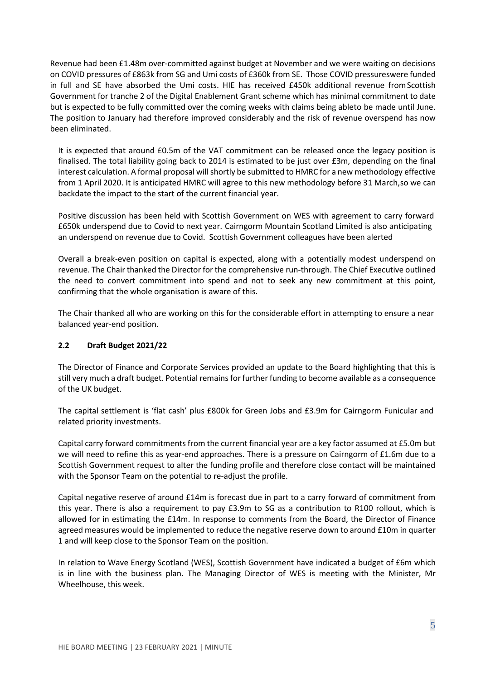Revenue had been £1.48m over-committed against budget at November and we were waiting on decisions on COVID pressures of £863k from SG and Umi costs of £360k from SE. Those COVID pressureswere funded in full and SE have absorbed the Umi costs. HIE has received £450k additional revenue fromScottish Government for tranche 2 of the Digital Enablement Grant scheme which has minimal commitment to date but is expected to be fully committed over the coming weeks with claims being ableto be made until June. The position to January had therefore improved considerably and the risk of revenue overspend has now been eliminated.

It is expected that around £0.5m of the VAT commitment can be released once the legacy position is finalised. The total liability going back to 2014 is estimated to be just over £3m, depending on the final interest calculation. A formal proposal will shortly be submitted to HMRC for a new methodology effective from 1 April 2020. It is anticipated HMRC will agree to this new methodology before 31 March,so we can backdate the impact to the start of the current financial year.

Positive discussion has been held with Scottish Government on WES with agreement to carry forward £650k underspend due to Covid to next year. Cairngorm Mountain Scotland Limited is also anticipating an underspend on revenue due to Covid. Scottish Government colleagues have been alerted

Overall a break-even position on capital is expected, along with a potentially modest underspend on revenue. The Chair thanked the Director for the comprehensive run-through. The Chief Executive outlined the need to convert commitment into spend and not to seek any new commitment at this point, confirming that the whole organisation is aware of this.

The Chair thanked all who are working on this for the considerable effort in attempting to ensure a near balanced year-end position.

# **2.2 Draft Budget 2021/22**

The Director of Finance and Corporate Services provided an update to the Board highlighting that this is still very much a draft budget. Potential remains for further funding to become available as a consequence of the UK budget.

The capital settlement is 'flat cash' plus £800k for Green Jobs and £3.9m for Cairngorm Funicular and related priority investments.

Capital carry forward commitmentsfrom the current financial year are a key factor assumed at £5.0m but we will need to refine this as year-end approaches. There is a pressure on Cairngorm of £1.6m due to a Scottish Government request to alter the funding profile and therefore close contact will be maintained with the Sponsor Team on the potential to re-adjust the profile.

Capital negative reserve of around £14m is forecast due in part to a carry forward of commitment from this year. There is also a requirement to pay £3.9m to SG as a contribution to R100 rollout, which is allowed for in estimating the £14m. In response to comments from the Board, the Director of Finance agreed measures would be implemented to reduce the negative reserve down to around £10m in quarter 1 and will keep close to the Sponsor Team on the position.

In relation to Wave Energy Scotland (WES), Scottish Government have indicated a budget of £6m which is in line with the business plan. The Managing Director of WES is meeting with the Minister, Mr Wheelhouse, this week.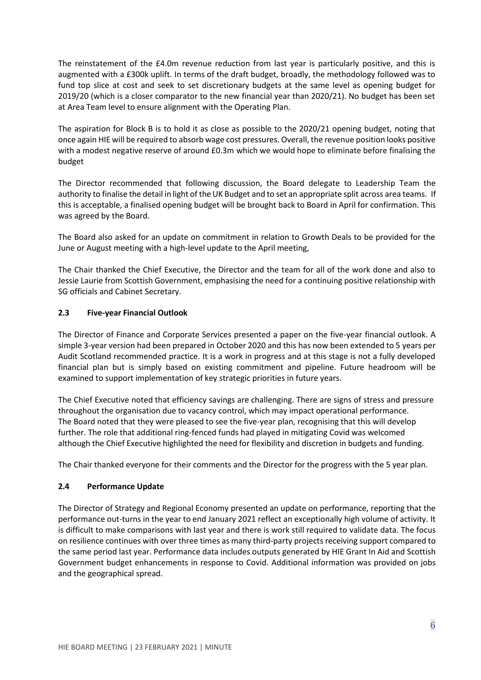The reinstatement of the £4.0m revenue reduction from last year is particularly positive, and this is augmented with a £300k uplift. In terms of the draft budget, broadly, the methodology followed was to fund top slice at cost and seek to set discretionary budgets at the same level as opening budget for 2019/20 (which is a closer comparator to the new financial year than 2020/21). No budget has been set at Area Team level to ensure alignment with the Operating Plan.

The aspiration for Block B is to hold it as close as possible to the 2020/21 opening budget, noting that once again HIE will be required to absorb wage cost pressures. Overall, the revenue position looks positive with a modest negative reserve of around £0.3m which we would hope to eliminate before finalising the budget

The Director recommended that following discussion, the Board delegate to Leadership Team the authority to finalise the detail in light of the UK Budget and to set an appropriate split across area teams. If this is acceptable, a finalised opening budget will be brought back to Board in April for confirmation. This was agreed by the Board.

The Board also asked for an update on commitment in relation to Growth Deals to be provided for the June or August meeting with a high-level update to the April meeting,

The Chair thanked the Chief Executive, the Director and the team for all of the work done and also to Jessie Laurie from Scottish Government, emphasising the need for a continuing positive relationship with SG officials and Cabinet Secretary.

# **2.3 Five-year Financial Outlook**

The Director of Finance and Corporate Services presented a paper on the five-year financial outlook. A simple 3-year version had been prepared in October 2020 and this has now been extended to 5 years per Audit Scotland recommended practice. It is a work in progress and at this stage is not a fully developed financial plan but is simply based on existing commitment and pipeline. Future headroom will be examined to support implementation of key strategic priorities in future years.

The Chief Executive noted that efficiency savings are challenging. There are signs of stress and pressure throughout the organisation due to vacancy control, which may impact operational performance. The Board noted that they were pleased to see the five-year plan, recognising that this will develop further. The role that additional ring-fenced funds had played in mitigating Covid was welcomed although the Chief Executive highlighted the need for flexibility and discretion in budgets and funding.

The Chair thanked everyone for their comments and the Director for the progress with the 5 year plan.

# **2.4 Performance Update**

The Director of Strategy and Regional Economy presented an update on performance, reporting that the performance out-turns in the year to end January 2021 reflect an exceptionally high volume of activity. It is difficult to make comparisons with last year and there is work still required to validate data. The focus on resilience continues with over three times as many third-party projects receiving support compared to the same period last year. Performance data includes outputs generated by HIE Grant In Aid and Scottish Government budget enhancements in response to Covid. Additional information was provided on jobs and the geographical spread.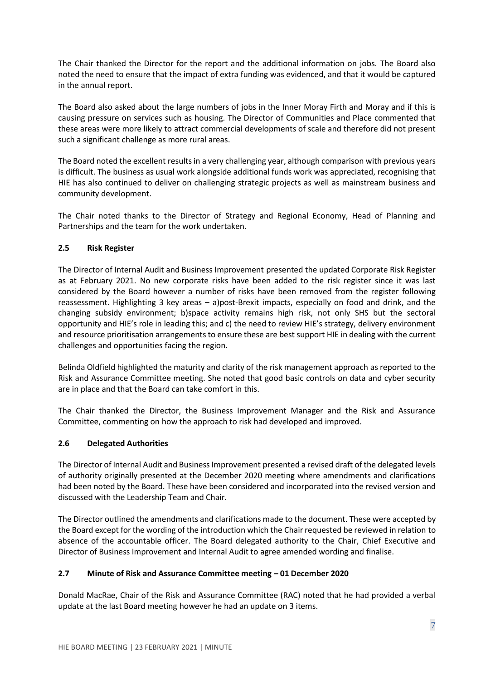The Chair thanked the Director for the report and the additional information on jobs. The Board also noted the need to ensure that the impact of extra funding was evidenced, and that it would be captured in the annual report.

The Board also asked about the large numbers of jobs in the Inner Moray Firth and Moray and if this is causing pressure on services such as housing. The Director of Communities and Place commented that these areas were more likely to attract commercial developments of scale and therefore did not present such a significant challenge as more rural areas.

The Board noted the excellent resultsin a very challenging year, although comparison with previous years is difficult. The business as usual work alongside additional funds work was appreciated, recognising that HIE has also continued to deliver on challenging strategic projects as well as mainstream business and community development.

The Chair noted thanks to the Director of Strategy and Regional Economy, Head of Planning and Partnerships and the team for the work undertaken.

# **2.5 Risk Register**

The Director of Internal Audit and Business Improvement presented the updated Corporate Risk Register as at February 2021. No new corporate risks have been added to the risk register since it was last considered by the Board however a number of risks have been removed from the register following reassessment. Highlighting 3 key areas – a)post-Brexit impacts, especially on food and drink, and the changing subsidy environment; b)space activity remains high risk, not only SHS but the sectoral opportunity and HIE's role in leading this; and c) the need to review HIE's strategy, delivery environment and resource prioritisation arrangements to ensure these are best support HIE in dealing with the current challenges and opportunities facing the region.

Belinda Oldfield highlighted the maturity and clarity of the risk management approach as reported to the Risk and Assurance Committee meeting. She noted that good basic controls on data and cyber security are in place and that the Board can take comfort in this.

The Chair thanked the Director, the Business Improvement Manager and the Risk and Assurance Committee, commenting on how the approach to risk had developed and improved.

#### **2.6 Delegated Authorities**

The Director of Internal Audit and Business Improvement presented a revised draft of the delegated levels of authority originally presented at the December 2020 meeting where amendments and clarifications had been noted by the Board. These have been considered and incorporated into the revised version and discussed with the Leadership Team and Chair.

The Director outlined the amendments and clarifications made to the document. These were accepted by the Board except for the wording of the introduction which the Chair requested be reviewed in relation to absence of the accountable officer. The Board delegated authority to the Chair, Chief Executive and Director of Business Improvement and Internal Audit to agree amended wording and finalise.

# **2.7 Minute of Risk and Assurance Committee meeting – 01 December 2020**

Donald MacRae, Chair of the Risk and Assurance Committee (RAC) noted that he had provided a verbal update at the last Board meeting however he had an update on 3 items.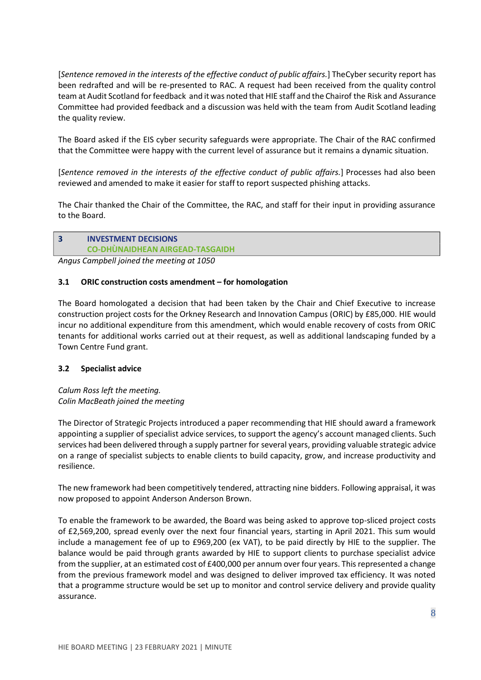[*Sentence removed in the interests of the effective conduct of public affairs.*] TheCyber security report has been redrafted and will be re-presented to RAC. A request had been received from the quality control team at Audit Scotland forfeedback and it was noted that HIE staff and the Chairof the Risk and Assurance Committee had provided feedback and a discussion was held with the team from Audit Scotland leading the quality review.

The Board asked if the EIS cyber security safeguards were appropriate. The Chair of the RAC confirmed that the Committee were happy with the current level of assurance but it remains a dynamic situation.

[*Sentence removed in the interests of the effective conduct of public affairs.*] Processes had also been reviewed and amended to make it easier for staff to report suspected phishing attacks.

The Chair thanked the Chair of the Committee, the RAC, and staff for their input in providing assurance to the Board.

# **3 INVESTMENT DECISIONS CO-DHÙNAIDHEAN AIRGEAD-TASGAIDH**

*Angus Campbell joined the meeting at 1050*

#### **3.1 ORIC construction costs amendment – for homologation**

The Board homologated a decision that had been taken by the Chair and Chief Executive to increase construction project costs for the Orkney Research and Innovation Campus (ORIC) by £85,000. HIE would incur no additional expenditure from this amendment, which would enable recovery of costs from ORIC tenants for additional works carried out at their request, as well as additional landscaping funded by a Town Centre Fund grant.

#### **3.2 Specialist advice**

*Calum Ross left the meeting. Colin MacBeath joined the meeting*

The Director of Strategic Projects introduced a paper recommending that HIE should award a framework appointing a supplier of specialist advice services, to support the agency's account managed clients. Such services had been delivered through a supply partner for several years, providing valuable strategic advice on a range of specialist subjects to enable clients to build capacity, grow, and increase productivity and resilience.

The new framework had been competitively tendered, attracting nine bidders. Following appraisal, it was now proposed to appoint Anderson Anderson Brown.

To enable the framework to be awarded, the Board was being asked to approve top-sliced project costs of £2,569,200, spread evenly over the next four financial years, starting in April 2021. This sum would include a management fee of up to £969,200 (ex VAT), to be paid directly by HIE to the supplier. The balance would be paid through grants awarded by HIE to support clients to purchase specialist advice from the supplier, at an estimated cost of £400,000 per annum over four years. This represented a change from the previous framework model and was designed to deliver improved tax efficiency. It was noted that a programme structure would be set up to monitor and control service delivery and provide quality assurance.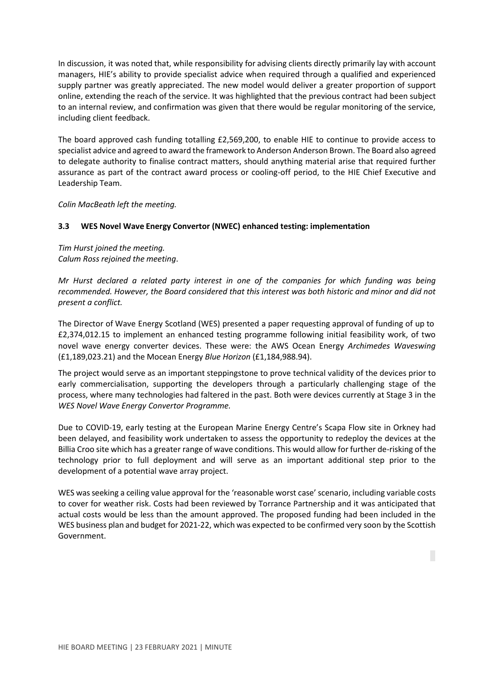In discussion, it was noted that, while responsibility for advising clients directly primarily lay with account managers, HIE's ability to provide specialist advice when required through a qualified and experienced supply partner was greatly appreciated. The new model would deliver a greater proportion of support online, extending the reach of the service. It was highlighted that the previous contract had been subject to an internal review, and confirmation was given that there would be regular monitoring of the service, including client feedback.

The board approved cash funding totalling £2,569,200, to enable HIE to continue to provide access to specialist advice and agreed to award the framework to Anderson Anderson Brown. The Board also agreed to delegate authority to finalise contract matters, should anything material arise that required further assurance as part of the contract award process or cooling-off period, to the HIE Chief Executive and Leadership Team.

*Colin MacBeath left the meeting.*

### **3.3 WES Novel Wave Energy Convertor (NWEC) enhanced testing: implementation**

*Tim Hurst joined the meeting. Calum Ross rejoined the meeting*.

*Mr Hurst declared a related party interest in one of the companies for which funding was being recommended. However, the Board considered that this interest was both historic and minor and did not present a conflict.*

The Director of Wave Energy Scotland (WES) presented a paper requesting approval of funding of up to £2,374,012.15 to implement an enhanced testing programme following initial feasibility work, of two novel wave energy converter devices. These were: the AWS Ocean Energy *Archimedes Waveswing* (£1,189,023.21) and the Mocean Energy *Blue Horizon* (£1,184,988.94).

The project would serve as an important steppingstone to prove technical validity of the devices prior to early commercialisation, supporting the developers through a particularly challenging stage of the process, where many technologies had faltered in the past. Both were devices currently at Stage 3 in the *WES Novel Wave Energy Convertor Programme.*

Due to COVID-19, early testing at the European Marine Energy Centre's Scapa Flow site in Orkney had been delayed, and feasibility work undertaken to assess the opportunity to redeploy the devices at the Billia Croo site which has a greater range of wave conditions. This would allow for further de-risking of the technology prior to full deployment and will serve as an important additional step prior to the development of a potential wave array project.

WES was seeking a ceiling value approval for the 'reasonable worst case' scenario, including variable costs to cover for weather risk. Costs had been reviewed by Torrance Partnership and it was anticipated that actual costs would be less than the amount approved. The proposed funding had been included in the WES business plan and budget for 2021-22, which was expected to be confirmed very soon by the Scottish Government.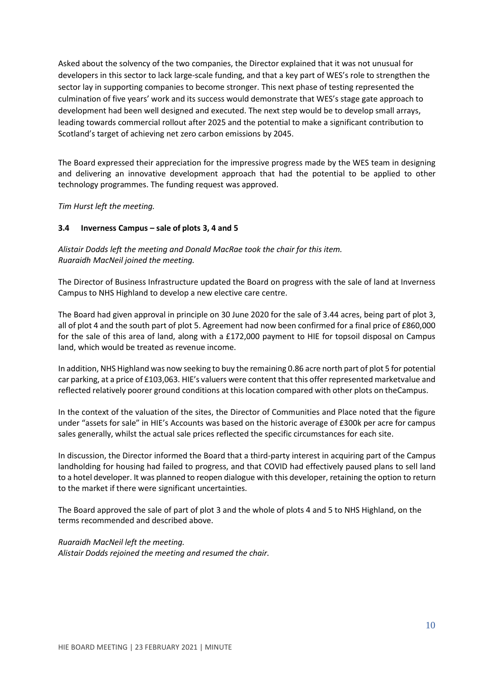Asked about the solvency of the two companies, the Director explained that it was not unusual for developers in this sector to lack large-scale funding, and that a key part of WES's role to strengthen the sector lay in supporting companies to become stronger. This next phase of testing represented the culmination of five years' work and its success would demonstrate that WES's stage gate approach to development had been well designed and executed. The next step would be to develop small arrays, leading towards commercial rollout after 2025 and the potential to make a significant contribution to Scotland's target of achieving net zero carbon emissions by 2045.

The Board expressed their appreciation for the impressive progress made by the WES team in designing and delivering an innovative development approach that had the potential to be applied to other technology programmes. The funding request was approved.

*Tim Hurst left the meeting.*

### **3.4 Inverness Campus – sale of plots 3, 4 and 5**

*Alistair Dodds left the meeting and Donald MacRae took the chair for this item. Ruaraidh MacNeil joined the meeting.*

The Director of Business Infrastructure updated the Board on progress with the sale of land at Inverness Campus to NHS Highland to develop a new elective care centre.

The Board had given approval in principle on 30 June 2020 for the sale of 3.44 acres, being part of plot 3, all of plot 4 and the south part of plot 5. Agreement had now been confirmed for a final price of £860,000 for the sale of this area of land, along with a £172,000 payment to HIE for topsoil disposal on Campus land, which would be treated as revenue income.

In addition, NHS Highland was now seeking to buy the remaining 0.86 acre north part of plot 5 for potential car parking, at a price of £103,063. HIE's valuers were content that this offer represented marketvalue and reflected relatively poorer ground conditions at thislocation compared with other plots on theCampus.

In the context of the valuation of the sites, the Director of Communities and Place noted that the figure under "assets for sale" in HIE's Accounts was based on the historic average of £300k per acre for campus sales generally, whilst the actual sale prices reflected the specific circumstances for each site.

In discussion, the Director informed the Board that a third-party interest in acquiring part of the Campus landholding for housing had failed to progress, and that COVID had effectively paused plans to sell land to a hotel developer. It was planned to reopen dialogue with this developer, retaining the option to return to the market if there were significant uncertainties.

The Board approved the sale of part of plot 3 and the whole of plots 4 and 5 to NHS Highland, on the terms recommended and described above.

*Ruaraidh MacNeil left the meeting. Alistair Dodds rejoined the meeting and resumed the chair.*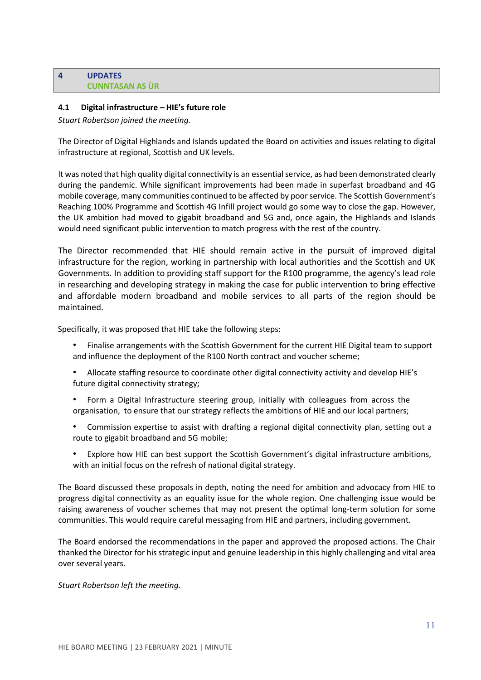### **4 UPDATES CUNNTASAN AS ÙR**

### **4.1 Digital infrastructure – HIE's future role**

*Stuart Robertson joined the meeting.*

The Director of Digital Highlands and Islands updated the Board on activities and issues relating to digital infrastructure at regional, Scottish and UK levels.

It was noted that high quality digital connectivity is an essential service, as had been demonstrated clearly during the pandemic. While significant improvements had been made in superfast broadband and 4G mobile coverage, many communities continued to be affected by poorservice. The Scottish Government's Reaching 100% Programme and Scottish 4G Infill project would go some way to close the gap. However, the UK ambition had moved to gigabit broadband and 5G and, once again, the Highlands and Islands would need significant public intervention to match progress with the rest of the country.

The Director recommended that HIE should remain active in the pursuit of improved digital infrastructure for the region, working in partnership with local authorities and the Scottish and UK Governments. In addition to providing staff support for the R100 programme, the agency's lead role in researching and developing strategy in making the case for public intervention to bring effective and affordable modern broadband and mobile services to all parts of the region should be maintained.

Specifically, it was proposed that HIE take the following steps:

- Finalise arrangements with the Scottish Government for the current HIE Digital team to support and influence the deployment of the R100 North contract and voucher scheme;
- Allocate staffing resource to coordinate other digital connectivity activity and develop HIE's future digital connectivity strategy;
- Form a Digital Infrastructure steering group, initially with colleagues from across the organisation, to ensure that our strategy reflects the ambitions of HIE and our local partners;
- Commission expertise to assist with drafting a regional digital connectivity plan, setting out a route to gigabit broadband and 5G mobile;
- Explore how HIE can best support the Scottish Government's digital infrastructure ambitions, with an initial focus on the refresh of national digital strategy.

The Board discussed these proposals in depth, noting the need for ambition and advocacy from HIE to progress digital connectivity as an equality issue for the whole region. One challenging issue would be raising awareness of voucher schemes that may not present the optimal long-term solution for some communities. This would require careful messaging from HIE and partners, including government.

The Board endorsed the recommendations in the paper and approved the proposed actions. The Chair thanked the Director for hisstrategic input and genuine leadership in this highly challenging and vital area over several years.

#### *Stuart Robertson left the meeting.*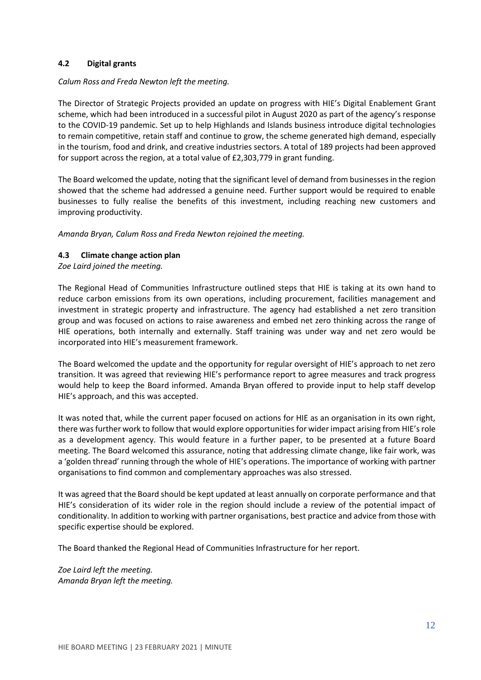### **4.2 Digital grants**

#### *Calum Ross and Freda Newton left the meeting.*

The Director of Strategic Projects provided an update on progress with HIE's Digital Enablement Grant scheme, which had been introduced in a successful pilot in August 2020 as part of the agency's response to the COVID-19 pandemic. Set up to help Highlands and Islands business introduce digital technologies to remain competitive, retain staff and continue to grow, the scheme generated high demand, especially in the tourism, food and drink, and creative industries sectors. A total of 189 projects had been approved for support across the region, at a total value of £2,303,779 in grant funding.

The Board welcomed the update, noting that the significant level of demand from businessesin the region showed that the scheme had addressed a genuine need. Further support would be required to enable businesses to fully realise the benefits of this investment, including reaching new customers and improving productivity.

*Amanda Bryan, Calum Ross and Freda Newton rejoined the meeting.*

#### **4.3 Climate change action plan**

*Zoe Laird joined the meeting.*

The Regional Head of Communities Infrastructure outlined steps that HIE is taking at its own hand to reduce carbon emissions from its own operations, including procurement, facilities management and investment in strategic property and infrastructure. The agency had established a net zero transition group and was focused on actions to raise awareness and embed net zero thinking across the range of HIE operations, both internally and externally. Staff training was under way and net zero would be incorporated into HIE's measurement framework.

The Board welcomed the update and the opportunity for regular oversight of HIE's approach to net zero transition. It was agreed that reviewing HIE's performance report to agree measures and track progress would help to keep the Board informed. Amanda Bryan offered to provide input to help staff develop HIE's approach, and this was accepted.

It was noted that, while the current paper focused on actions for HIE as an organisation in its own right, there was further work to follow that would explore opportunities for wider impact arising from HIE's role as a development agency. This would feature in a further paper, to be presented at a future Board meeting. The Board welcomed this assurance, noting that addressing climate change, like fair work, was a 'golden thread' running through the whole of HIE's operations. The importance of working with partner organisations to find common and complementary approaches was also stressed.

It was agreed that the Board should be kept updated at least annually on corporate performance and that HIE's consideration of its wider role in the region should include a review of the potential impact of conditionality. In addition to working with partner organisations, best practice and advice from those with specific expertise should be explored.

The Board thanked the Regional Head of Communities Infrastructure for her report.

*Zoe Laird left the meeting. Amanda Bryan left the meeting.*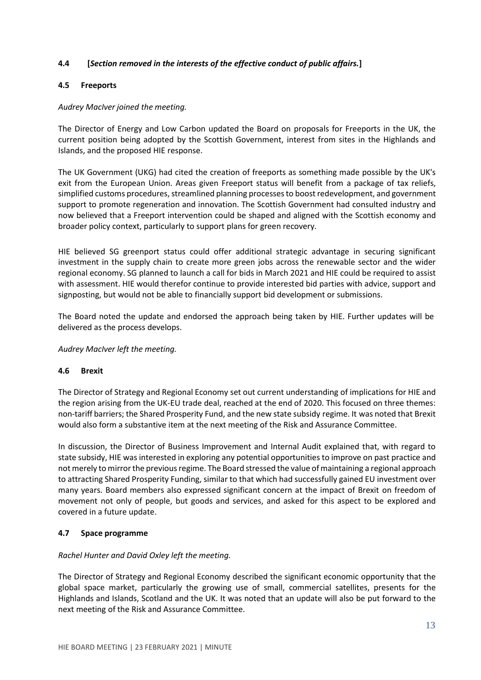# **4.4 [***Section removed in the interests of the effective conduct of public affairs.***]**

### **4.5 Freeports**

### *Audrey MacIver joined the meeting.*

The Director of Energy and Low Carbon updated the Board on proposals for Freeports in the UK, the current position being adopted by the Scottish Government, interest from sites in the Highlands and Islands, and the proposed HIE response.

The UK Government (UKG) had cited the creation of freeports as something made possible by the UK's exit from the European Union. Areas given Freeport status will benefit from a package of tax reliefs, simplified customs procedures, streamlined planning processes to boost redevelopment, and government support to promote regeneration and innovation. The Scottish Government had consulted industry and now believed that a Freeport intervention could be shaped and aligned with the Scottish economy and broader policy context, particularly to support plans for green recovery.

HIE believed SG greenport status could offer additional strategic advantage in securing significant investment in the supply chain to create more green jobs across the renewable sector and the wider regional economy. SG planned to launch a call for bids in March 2021 and HIE could be required to assist with assessment. HIE would therefor continue to provide interested bid parties with advice, support and signposting, but would not be able to financially support bid development or submissions.

The Board noted the update and endorsed the approach being taken by HIE. Further updates will be delivered as the process develops.

*Audrey MacIver left the meeting.*

#### **4.6 Brexit**

The Director of Strategy and Regional Economy set out current understanding of implications for HIE and the region arising from the UK-EU trade deal, reached at the end of 2020. This focused on three themes: non-tariff barriers; the Shared Prosperity Fund, and the new state subsidy regime. It was noted that Brexit would also form a substantive item at the next meeting of the Risk and Assurance Committee.

In discussion, the Director of Business Improvement and Internal Audit explained that, with regard to state subsidy, HIE was interested in exploring any potential opportunities to improve on past practice and not merely to mirror the previous regime. The Board stressed the value of maintaining a regional approach to attracting Shared Prosperity Funding, similar to that which had successfully gained EU investment over many years. Board members also expressed significant concern at the impact of Brexit on freedom of movement not only of people, but goods and services, and asked for this aspect to be explored and covered in a future update.

# **4.7 Space programme**

#### *Rachel Hunter and David Oxley left the meeting.*

The Director of Strategy and Regional Economy described the significant economic opportunity that the global space market, particularly the growing use of small, commercial satellites, presents for the Highlands and Islands, Scotland and the UK. It was noted that an update will also be put forward to the next meeting of the Risk and Assurance Committee.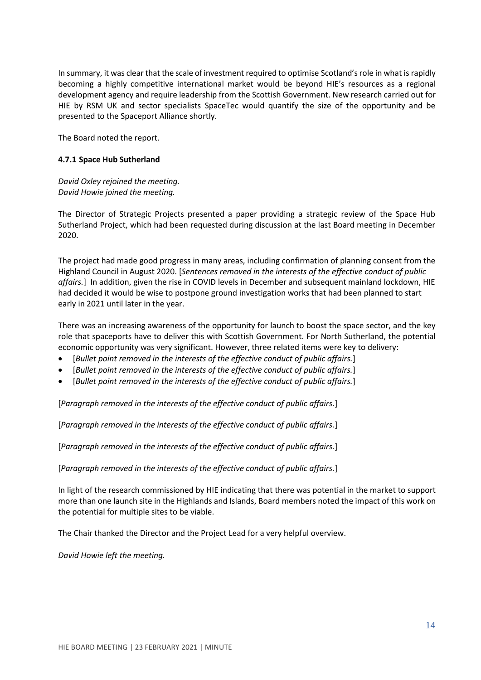In summary, it was clear that the scale of investment required to optimise Scotland's role in what is rapidly becoming a highly competitive international market would be beyond HIE's resources as a regional development agency and require leadership from the Scottish Government. New research carried out for HIE by RSM UK and sector specialists SpaceTec would quantify the size of the opportunity and be presented to the Spaceport Alliance shortly.

The Board noted the report.

### **4.7.1 Space Hub Sutherland**

*David Oxley rejoined the meeting. David Howie joined the meeting.*

The Director of Strategic Projects presented a paper providing a strategic review of the Space Hub Sutherland Project, which had been requested during discussion at the last Board meeting in December 2020.

The project had made good progress in many areas, including confirmation of planning consent from the Highland Council in August 2020. [*Sentences removed in the interests of the effective conduct of public affairs.*] In addition, given the rise in COVID levels in December and subsequent mainland lockdown, HIE had decided it would be wise to postpone ground investigation works that had been planned to start early in 2021 until later in the year.

There was an increasing awareness of the opportunity for launch to boost the space sector, and the key role that spaceports have to deliver this with Scottish Government. For North Sutherland, the potential economic opportunity was very significant. However, three related items were key to delivery:

- [*Bullet point removed in the interests of the effective conduct of public affairs.*]
- [*Bullet point removed in the interests of the effective conduct of public affairs.*]
- [*Bullet point removed in the interests of the effective conduct of public affairs.*]

[*Paragraph removed in the interests of the effective conduct of public affairs.*]

[*Paragraph removed in the interests of the effective conduct of public affairs.*]

[*Paragraph removed in the interests of the effective conduct of public affairs.*]

[*Paragraph removed in the interests of the effective conduct of public affairs.*]

In light of the research commissioned by HIE indicating that there was potential in the market to support more than one launch site in the Highlands and Islands, Board members noted the impact of this work on the potential for multiple sites to be viable.

The Chair thanked the Director and the Project Lead for a very helpful overview.

*David Howie left the meeting.*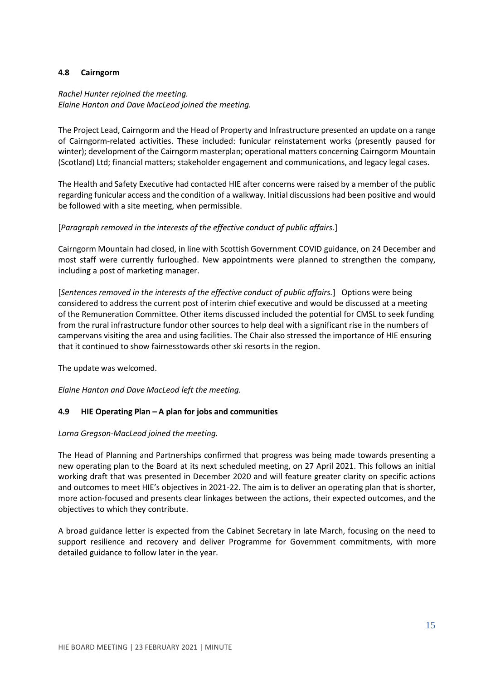### **4.8 Cairngorm**

# *Rachel Hunter rejoined the meeting. Elaine Hanton and Dave MacLeod joined the meeting.*

The Project Lead, Cairngorm and the Head of Property and Infrastructure presented an update on a range of Cairngorm-related activities. These included: funicular reinstatement works (presently paused for winter); development of the Cairngorm masterplan; operational matters concerning Cairngorm Mountain (Scotland) Ltd; financial matters; stakeholder engagement and communications, and legacy legal cases.

The Health and Safety Executive had contacted HIE after concerns were raised by a member of the public regarding funicular access and the condition of a walkway. Initial discussions had been positive and would be followed with a site meeting, when permissible.

### [*Paragraph removed in the interests of the effective conduct of public affairs.*]

Cairngorm Mountain had closed, in line with Scottish Government COVID guidance, on 24 December and most staff were currently furloughed. New appointments were planned to strengthen the company, including a post of marketing manager.

[*Sentences removed in the interests of the effective conduct of public affairs.*] Options were being considered to address the current post of interim chief executive and would be discussed at a meeting of the Remuneration Committee. Other items discussed included the potential for CMSL to seek funding from the rural infrastructure fundor other sources to help deal with a significant rise in the numbers of campervans visiting the area and using facilities. The Chair also stressed the importance of HIE ensuring that it continued to show fairnesstowards other ski resorts in the region.

The update was welcomed.

*Elaine Hanton and Dave MacLeod left the meeting.*

# **4.9 HIE Operating Plan – A plan for jobs and communities**

#### *Lorna Gregson-MacLeod joined the meeting.*

The Head of Planning and Partnerships confirmed that progress was being made towards presenting a new operating plan to the Board at its next scheduled meeting, on 27 April 2021. This follows an initial working draft that was presented in December 2020 and will feature greater clarity on specific actions and outcomes to meet HIE's objectives in 2021-22. The aim is to deliver an operating plan that is shorter, more action-focused and presents clear linkages between the actions, their expected outcomes, and the objectives to which they contribute.

A broad guidance letter is expected from the Cabinet Secretary in late March, focusing on the need to support resilience and recovery and deliver Programme for Government commitments, with more detailed guidance to follow later in the year.